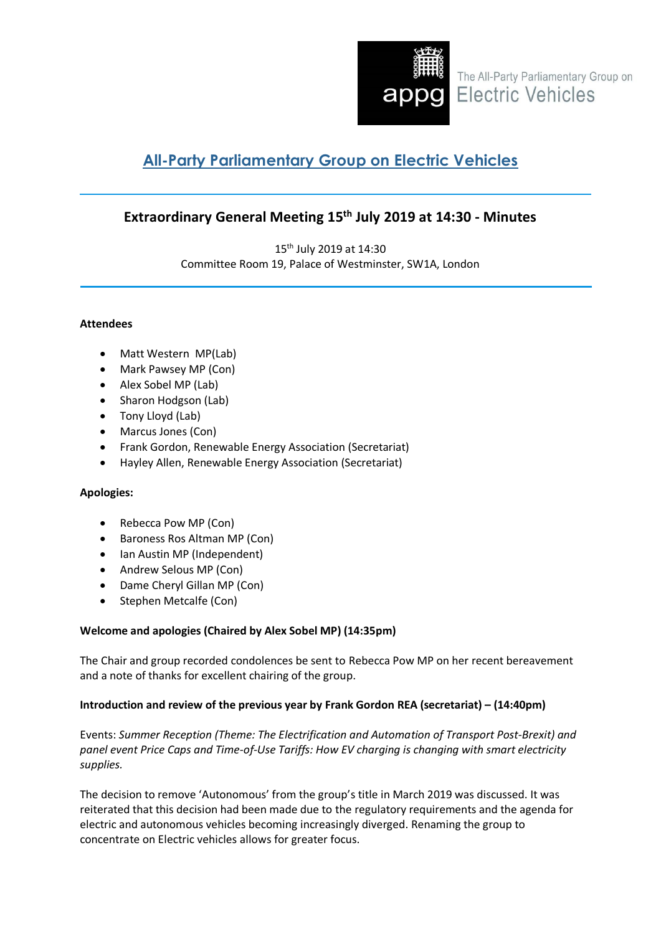

The All-Party Parliamentary Group on **OG** Electric Vehicles

# **All-Party Parliamentary Group on Electric Vehicles**

# **Extraordinary General Meeting 15th July 2019 at 14:30 - Minutes**

15th July 2019 at 14:30 Committee Room 19, Palace of Westminster, SW1A, London

# **Attendees**

- Matt Western MP(Lab)
- Mark Pawsey MP (Con)
- Alex Sobel MP (Lab)
- Sharon Hodgson (Lab)
- Tony Lloyd (Lab)
- Marcus Jones (Con)
- Frank Gordon, Renewable Energy Association (Secretariat)
- Hayley Allen, Renewable Energy Association (Secretariat)

# **Apologies:**

- Rebecca Pow MP (Con)
- Baroness Ros Altman MP (Con)
- Ian Austin MP (Independent)
- Andrew Selous MP (Con)
- Dame Cheryl Gillan MP (Con)
- Stephen Metcalfe (Con)

# **Welcome and apologies (Chaired by Alex Sobel MP) (14:35pm)**

The Chair and group recorded condolences be sent to Rebecca Pow MP on her recent bereavement and a note of thanks for excellent chairing of the group.

# **Introduction and review of the previous year by Frank Gordon REA (secretariat) – (14:40pm)**

Events: *Summer Reception (Theme: The Electrification and Automation of Transport Post-Brexit) and panel event Price Caps and Time-of-Use Tariffs: How EV charging is changing with smart electricity supplies.*

The decision to remove 'Autonomous' from the group's title in March 2019 was discussed. It was reiterated that this decision had been made due to the regulatory requirements and the agenda for electric and autonomous vehicles becoming increasingly diverged. Renaming the group to concentrate on Electric vehicles allows for greater focus.